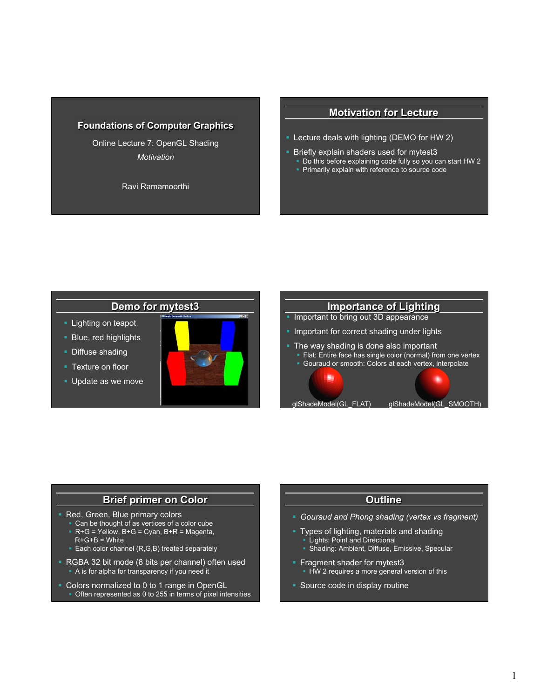### **Foundations of Computer Graphics**

Online Lecture 7: OpenGL Shading *Motivation* 

Ravi Ramamoorthi

### **Motivation for Lecture**

- § Lecture deals with lighting (DEMO for HW 2)
- **Briefly explain shaders used for mytest3** 
	- § Do this before explaining code fully so you can start HW 2
	- § Primarily explain with reference to source code

## **Demo for mytest3**

- **Lighting on teapot**
- **Blue, red highlights**
- Diffuse shading
- Texture on floor
- § Update as we move





### **Brief primer on Color**

- **Red, Green, Blue primary colors** 
	- § Can be thought of as vertices of a color cube
	- $R+G =$  Yellow,  $B+G =$  Cyan,  $B+R =$  Magenta,  $R+G+B =$  White
	- Each color channel (R,G,B) treated separately
- § RGBA 32 bit mode (8 bits per channel) often used
	- § A is for alpha for transparency if you need it
- § Colors normalized to 0 to 1 range in OpenGL • Often represented as 0 to 255 in terms of pixel intensities

### **Outline**

- § *Gouraud and Phong shading (vertex vs fragment)*
- § Types of lighting, materials and shading
	- **Lights: Point and Directional**
	- § Shading: Ambient, Diffuse, Emissive, Specular
- **Fragment shader for mytest3** 
	- **HW 2 requires a more general version of this**
- § Source code in display routine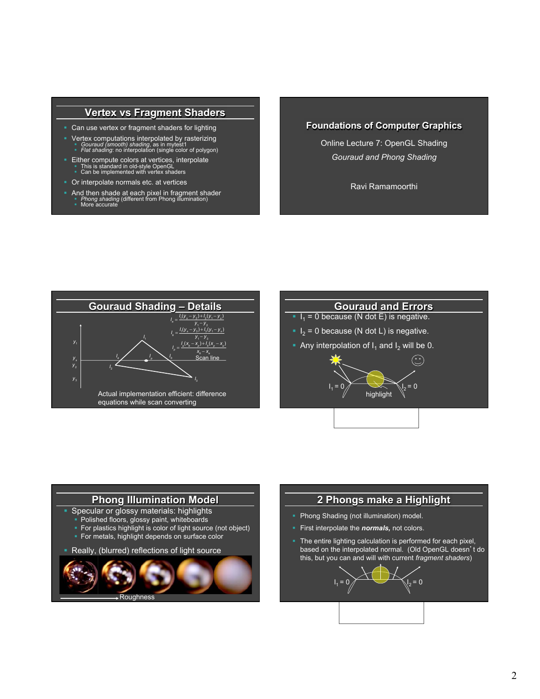### **Vertex vs Fragment Shaders**

- Can use vertex or fragment shaders for lighting
- Vertex computations interpolated by rasterizing<br>
 *Gouraud (smooth) shading*, as in mytest1<br>
 *Flat shading*: no interpolation (single color of polygon)
- 
- Either compute colors at vertices, interpolate This is standard in old-style OpenGL<br>Can be implemented with vertex shaders
- § Or interpolate normals etc. at vertices
- And then shade at each pixel in fragment shader  *Phong shading* (different from Phong illumination) **•** More accurate

## **Foundations of Computer Graphics**

Online Lecture 7: OpenGL Shading *Gouraud and Phong Shading* 

Ravi Ramamoorthi





 $\odot$ 

- $I_1 = 0$  because (N dot E) is negative.
- $|I_2| = 0$  because (N dot L) is negative.
- Any interpolation of  $I_1$  and  $I_2$  will be 0.

 $I_1 = 0$   $I_2 = 0$ <br>highlight



### **2 Phongs make a Highlight**

- Phong Shading (not illumination) model.
- § First interpolate the *normals,* not colors.
- **•** The entire lighting calculation is performed for each pixel, based on the interpolated normal. (Old OpenGL doesn't do this, but you can and will with current *fragment shaders*)

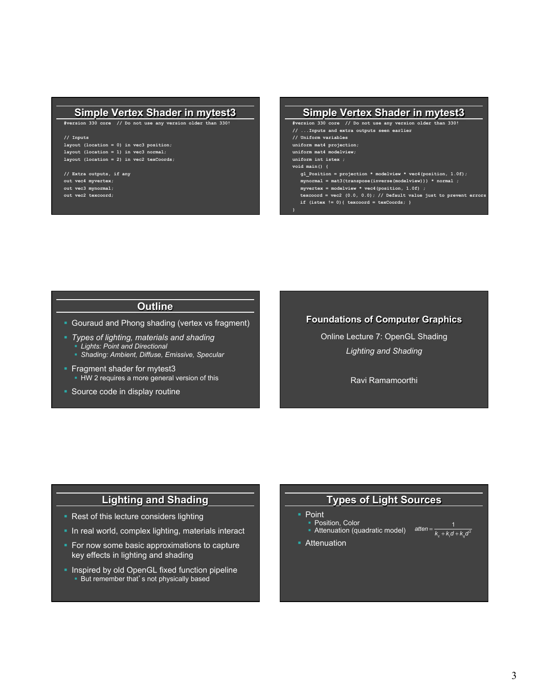### **Simple Vertex Shader in mytest3**

**#version 330 core // Do not use any version older than 330!** 

#### **// Inputs**

**layout (location = 0) in vec3 position; layout (location = 1) in vec3 normal; layout (location = 2) in vec2 texCoords;** 

**// Extra outputs, if any out vec4 myvertex; out vec3 mynormal; out vec2 texcoord;** 

#### **Simple Vertex Shader in mytest3**

**#version 330 core // Do not use any version older than 330! // ...Inputs and extra outputs seen earlier // Uniform variables uniform mat4 projection; uniform mat4 modelview; uniform int istex ; void main() { gl\_Position = projection \* modelview \* vec4(position, 1.0f); mynormal = mat3(transpose(inverse(modelview))) \* normal ; myvertex = modelview \* vec4(position, 1.0f) ; texcoord = vec2 (0.0, 0.0); // Default value just to prevent errors if (istex != 0){ texcoord = texCoords; }** 

- **Outline**
- Gouraud and Phong shading (vertex vs fragment)
- § *Types of lighting, materials and shading*  § *Lights: Point and Directional*
- § *Shading: Ambient, Diffuse, Emissive, Specular*
- **Fragment shader for mytest3 • HW 2 requires a more general version of this**
- Source code in display routine

### **Foundations of Computer Graphics**

Online Lecture 7: OpenGL Shading *Lighting and Shading* 

Ravi Ramamoorthi

### **Lighting and Shading**

- Rest of this lecture considers lighting
- In real world, complex lighting, materials interact
- For now some basic approximations to capture key effects in lighting and shading
- **Inspired by old OpenGL fixed function pipeline • But remember that's not physically based**

## **Types of Light Sources**

- Point ■ Position, Color
	- **Example 1** Position, Color Correction Codel) atten =  $\frac{1}{k_c + k/d + k_q d^2}$
- **•** Attenuation

**}**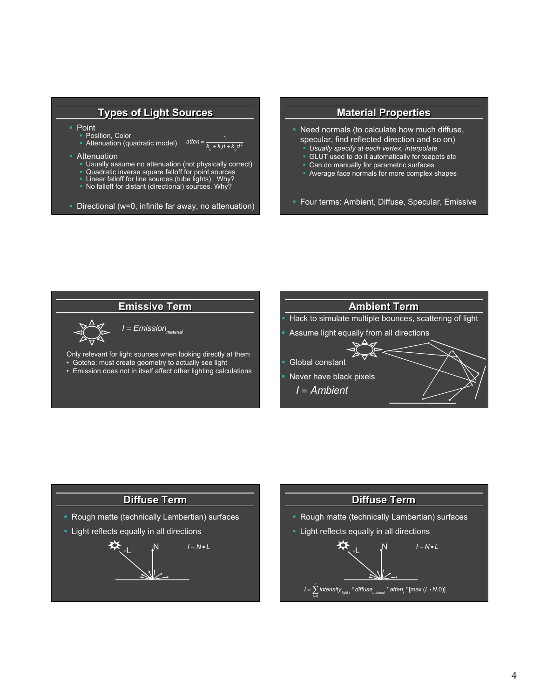### **Types of Light Sources**

**Point** 

■ Position, Color

• Attenuation (quadratic model) *atten* <sup>=</sup> <sup>1</sup>  $k_c + k<sub>j</sub>d + k<sub>q</sub>d<sup>2</sup>$ 

- **•** Attenuation
	- Usually assume no attenuation (not physically correct)
	- § Quadratic inverse square falloff for point sources
	- Linear falloff for line sources (tube lights). Why?
	- § No falloff for distant (directional) sources. Why?
- § Directional (w=0, infinite far away, no attenuation)







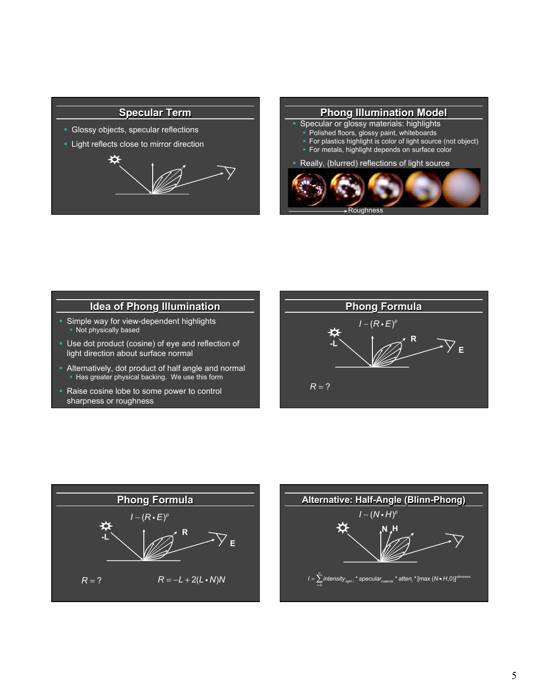## **Specular Term**

- § Glossy objects, specular reflections
- **Light reflects close to mirror direction**





# **Idea of Phong Illumination**

- Simple way for view-dependent highlights • Not physically based
- § Use dot product (cosine) of eye and reflection of light direction about surface normal
- Alternatively, dot product of half angle and normal ■ Has greater physical backing. We use this form
- Raise cosine lobe to some power to control sharpness or roughness





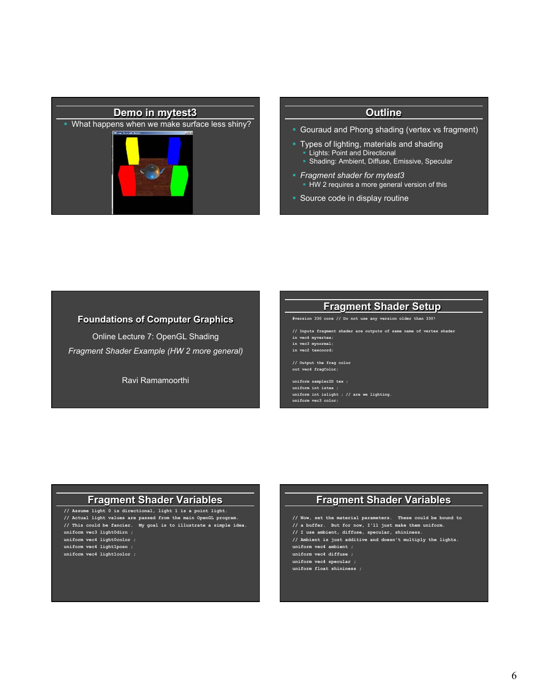

#### **Outline**

- Gouraud and Phong shading (vertex vs fragment)
- § Types of lighting, materials and shading § Lights: Point and Directional § Shading: Ambient, Diffuse, Emissive, Specular
- § *Fragment shader for mytest3*  • HW 2 requires a more general version of this
- Source code in display routine

### **Foundations of Computer Graphics**

Online Lecture 7: OpenGL Shading *Fragment Shader Example (HW 2 more general)* 

Ravi Ramamoorthi

### **Fragment Shader Setup**

**#version 330 core // Do not use any version older than 330!** 

**// Inputs fragment shader are outputs of same name of vertex shader in vec4 myvertex;** 

**in vec3 mynormal; in vec2 texcoord;** 

**// Output the frag color out vec4 fragColor;** 

**uniform sampler2D tex ; uniform int istex ; uniform int islight ; // are we lighting. uniform vec3 color;** 

### **Fragment Shader Variables**

**// Assume light 0 is directional, light 1 is a point light. // Actual light values are passed from the main OpenGL program. // This could be fancier. My goal is to illustrate a simple idea. uniform vec3 light0dirn ; uniform vec4 light0color ; uniform vec4 light1posn ; uniform vec4 light1color ;** 

## **Fragment Shader Variables**

**// Now, set the material parameters. These could be bound to** 

- **// a buffer. But for now, I'll just make them uniform.**
- **// I use ambient, diffuse, specular, shininess.**
- **// Ambient is just additive and doesn't multiply the lights.**
- **uniform vec4 ambient ;**

**uniform vec4 diffuse ; uniform vec4 specular ;** 

**uniform float shininess ;**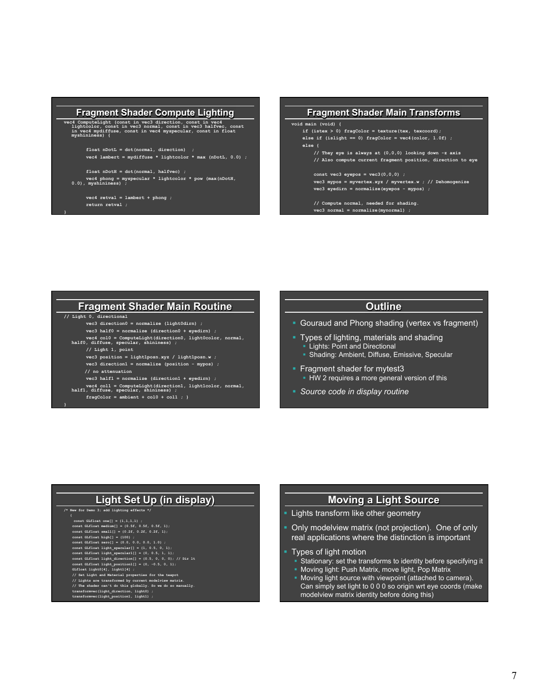#### **Fragment Shader Compute Lighting**

**vec4 ComputeLight (const in vec3 direction, const in vec4 lightcolor, const in vec3 normal, const in vec3 halfvec, const in vec4 mydiffuse, const in vec4 myspecular, const in float myshininess) {** 

 **float nDotL = dot(normal, direction) ; vec4 lambert = mydiffuse \* lightcolor \* max (nDotL, 0.0) ;** 

 **float nDotH = dot(normal, halfvec) ; vec4 phong = myspecular \* lightcolor \* pow (max(nDotH, 0.0), myshininess) ;** 

 **vec4 retval = lambert + phong ; return retval ;** 

**}** 

**}** 



## **Fragment Shader Main Routine**

**// Light 0, directional** 

- **vec3 direction0 = normalize (light0dirn) ; vec3 half0 = normalize (direction0 + eyedirn) ;**
- 
- **vec4 col0 = ComputeLight(direction0, light0color, normal, half0, diffuse, specular, shininess) ;** 
	- **// Light 1, point**
	- **vec3 position = light1posn.xyz / light1posn.w ; vec3 direction1 = normalize (position - mypos) ;**
	- **// no attenuation**
	- **vec3 half1 = normalize (direction1 + eyedirn) ;**
- **vec4 col1 = ComputeLight(direction1, light1color, normal, half1, diffuse, specular, shininess) ;**
- **fragColor = ambient + col0 + col1 ; }**

### **Outline**

- Gouraud and Phong shading (vertex vs fragment)
- § Types of lighting, materials and shading Lights: Point and Directional
	- § Shading: Ambient, Diffuse, Emissive, Specular
- § Fragment shader for mytest3 **• HW 2 requires a more general version of this**
- § *Source code in display routine*

## **Light Set Up (in display)**

#### **/\* New for Demo 3; add lighting effects \*/**

- 
- **{ const GLfloat one[] = {1,1,1,1} ; const GLfloat medium[] = {0.5f, 0.5f, 0.5f, 1}; const GLfloat small[] = {0.2f, 0.2f, 0.2f, 1}; const GLfloat high[] = {100} ; const GLfloat zero[] = {0.0, 0.0, 0.0, 1.0} ; const GLfloat light\_specular[] = {1, 0.5, 0, 1};** 
	-
	-
	-
- const GLIcat light\_grecularI[] = (0, 0.5, 1, 1);<br>const GLIcat light\_direction[] = (0.5, 0, 0, 0); // Dir lt<br>const GLIcat light\_position1[] = (0, -0.5, 0, 1);<br>GLIcat light\_0(1), lightl[4];<br>// Set Light and Material properti
- 
- 
- // Lights are transformed by current modelview matrix.<br>// The shader can't do this globally. So we do so manually.<br>transformwec(light\_direction, light0) ;<br>transformwec(light\_position1, light1) ;
	-

## **Moving a Light Source**

- Lights transform like other geometry
- § Only modelview matrix (not projection). One of only real applications where the distinction is important
- § Types of light motion
	- § Stationary: set the transforms to identity before specifying it
	- § Moving light: Push Matrix, move light, Pop Matrix
	- § Moving light source with viewpoint (attached to camera). Can simply set light to 0 0 0 so origin wrt eye coords (make modelview matrix identity before doing this)